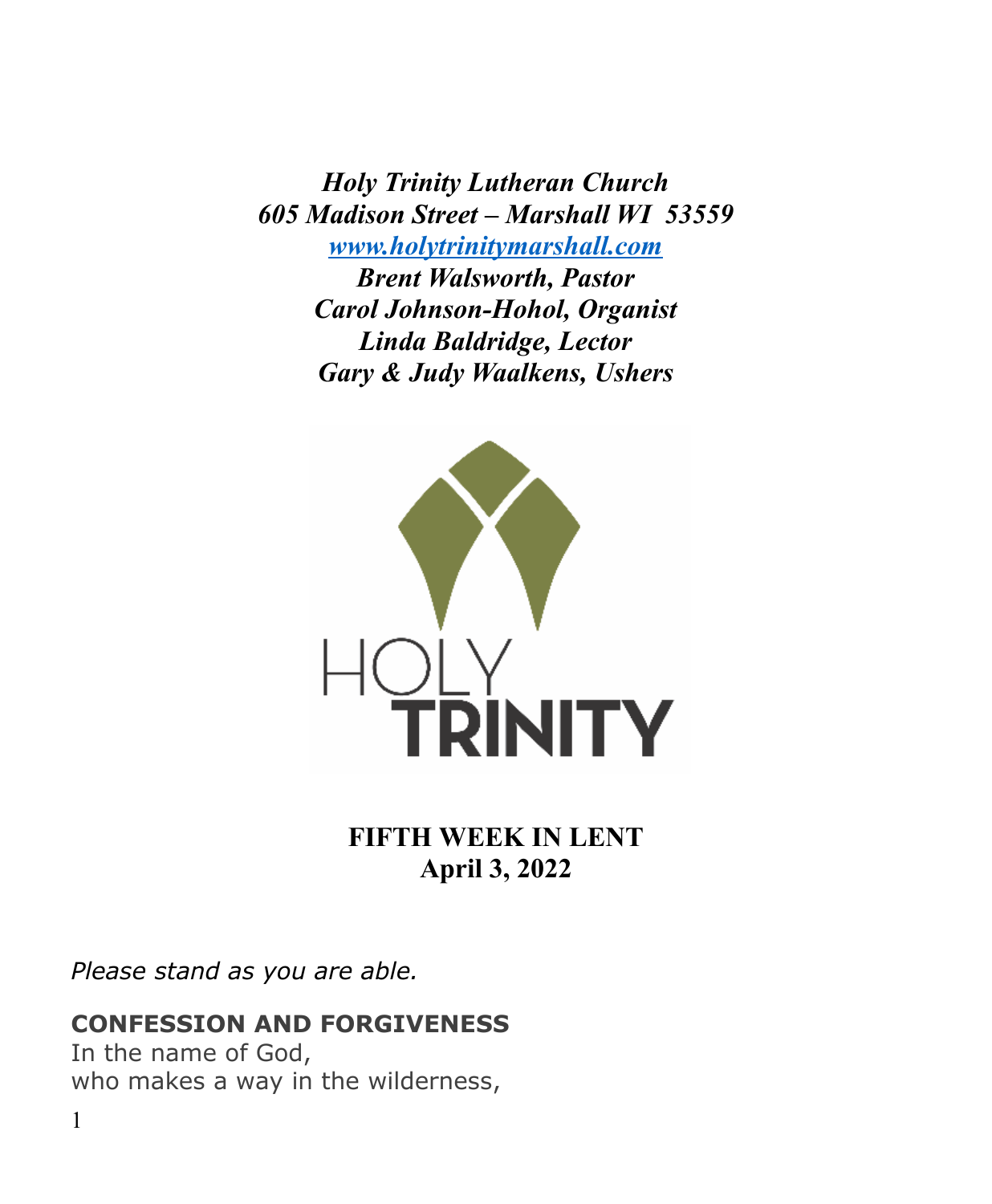*Holy Trinity Lutheran Church 605 Madison Street – Marshall WI 53559 [www.holytrinitymarshall.com](http://www.holytrinitymarshall.com/) Brent Walsworth, Pastor Carol Johnson-Hohol, Organist Linda Baldridge, Lector Gary & Judy Waalkens, Ushers*



**FIFTH WEEK IN LENT April 3, 2022**

*Please stand as you are able.*

# **CONFESSION AND FORGIVENESS**

In the name of God, who makes a way in the wilderness,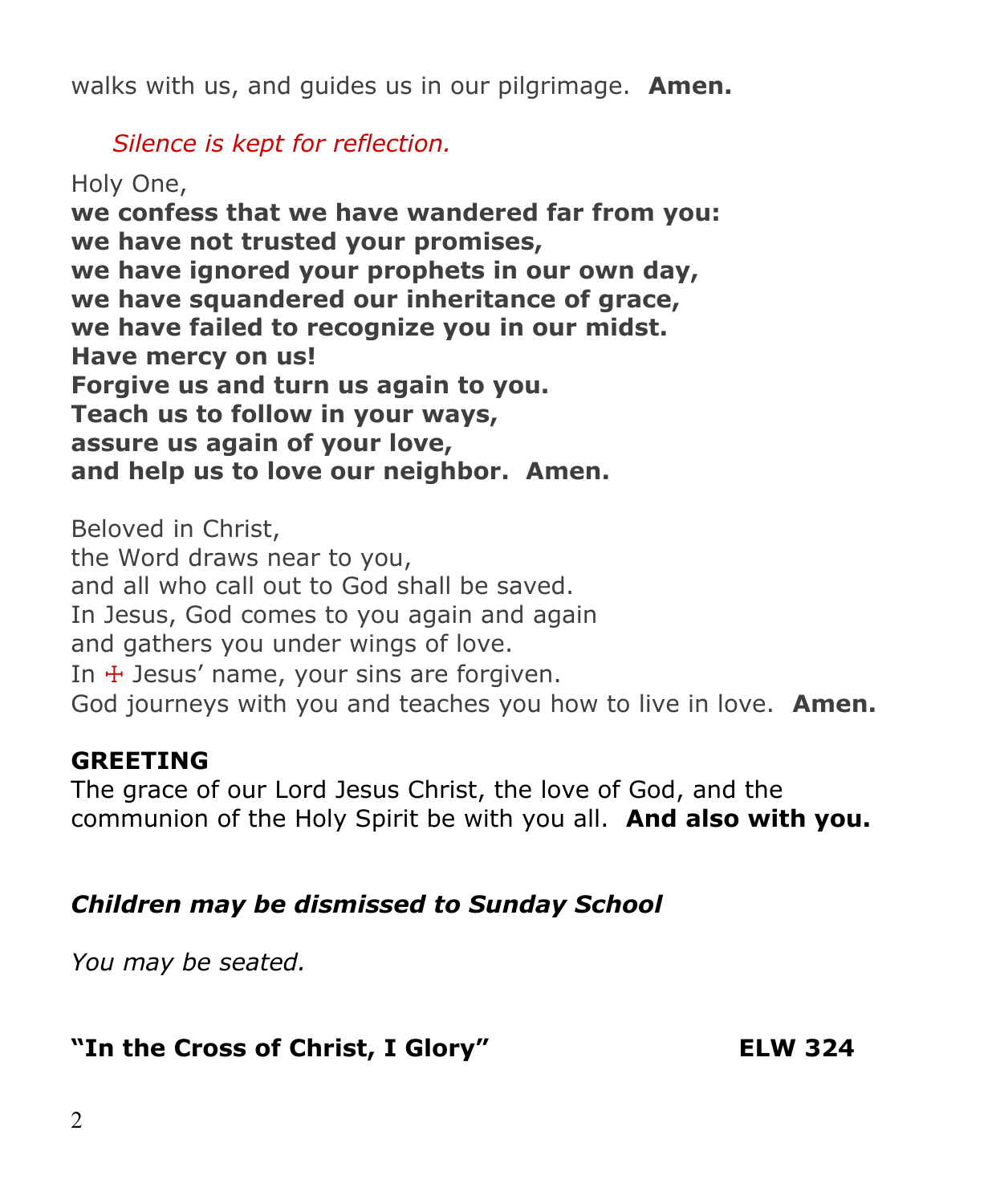walks with us, and guides us in our pilgrimage. **Amen.**

 *Silence is kept for reflection.*

Holy One, **we confess that we have wandered far from you: we have not trusted your promises, we have ignored your prophets in our own day, we have squandered our inheritance of grace, we have failed to recognize you in our midst. Have mercy on us! Forgive us and turn us again to you. Teach us to follow in your ways, assure us again of your love, and help us to love our neighbor. Amen.**

Beloved in Christ, the Word draws near to you, and all who call out to God shall be saved. In Jesus, God comes to you again and again and gathers you under wings of love. In  $+$  Jesus' name, your sins are forgiven. God journeys with you and teaches you how to live in love. **Amen.**

# **GREETING**

The grace of our Lord Jesus Christ, the love of God, and the communion of the Holy Spirit be with you all. **And also with you.**

# *Children may be dismissed to Sunday School*

*You may be seated.*

# **"In the Cross of Christ, I Glory" ELW 324**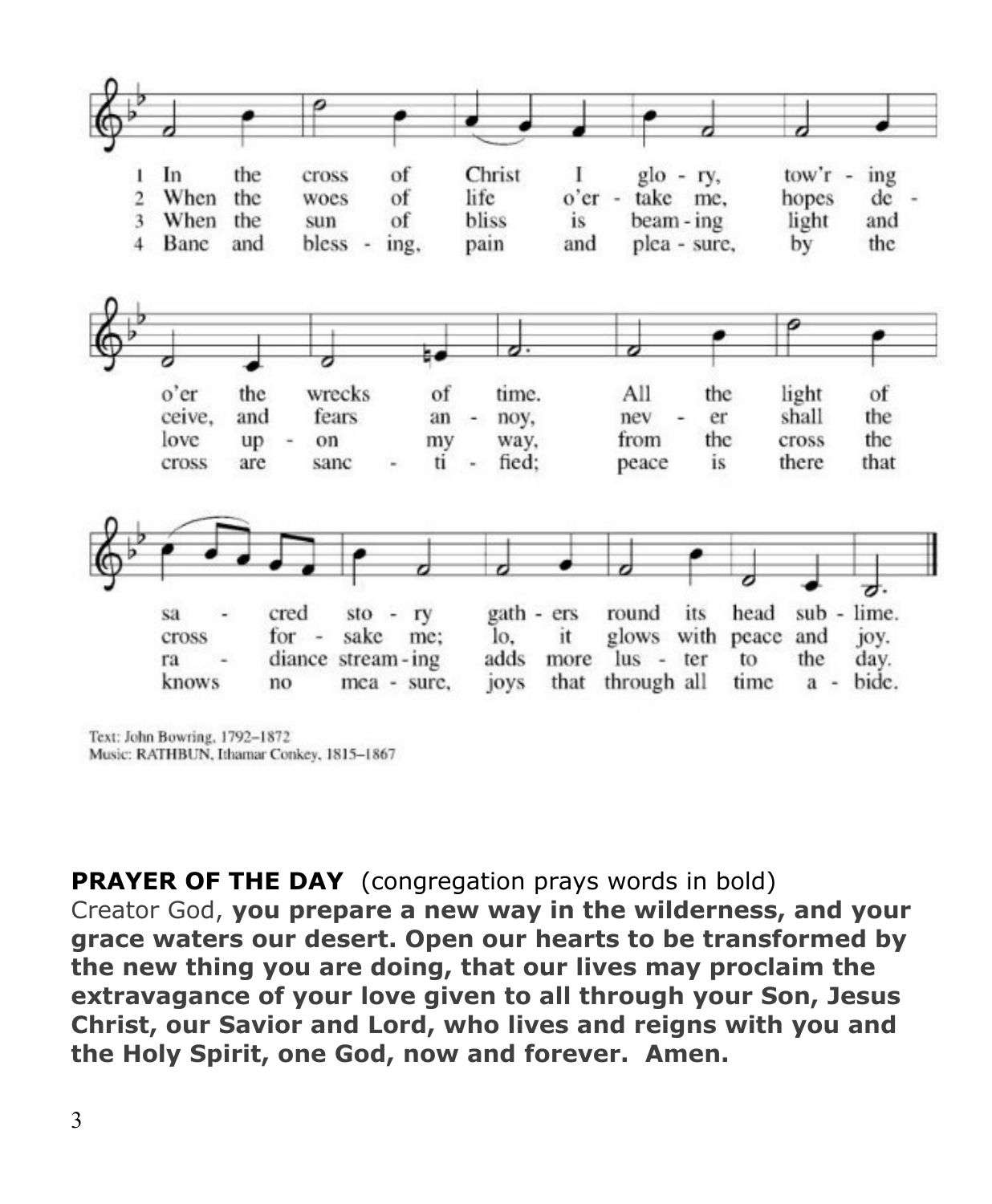

Text: John Bowring, 1792-1872 Music: RATHBUN, Ithamar Conkey, 1815-1867

**PRAYER OF THE DAY** (congregation prays words in bold) Creator God, **you prepare a new way in the wilderness, and your grace waters our desert. Open our hearts to be transformed by the new thing you are doing, that our lives may proclaim the extravagance of your love given to all through your Son, Jesus Christ, our Savior and Lord, who lives and reigns with you and the Holy Spirit, one God, now and forever. Amen.**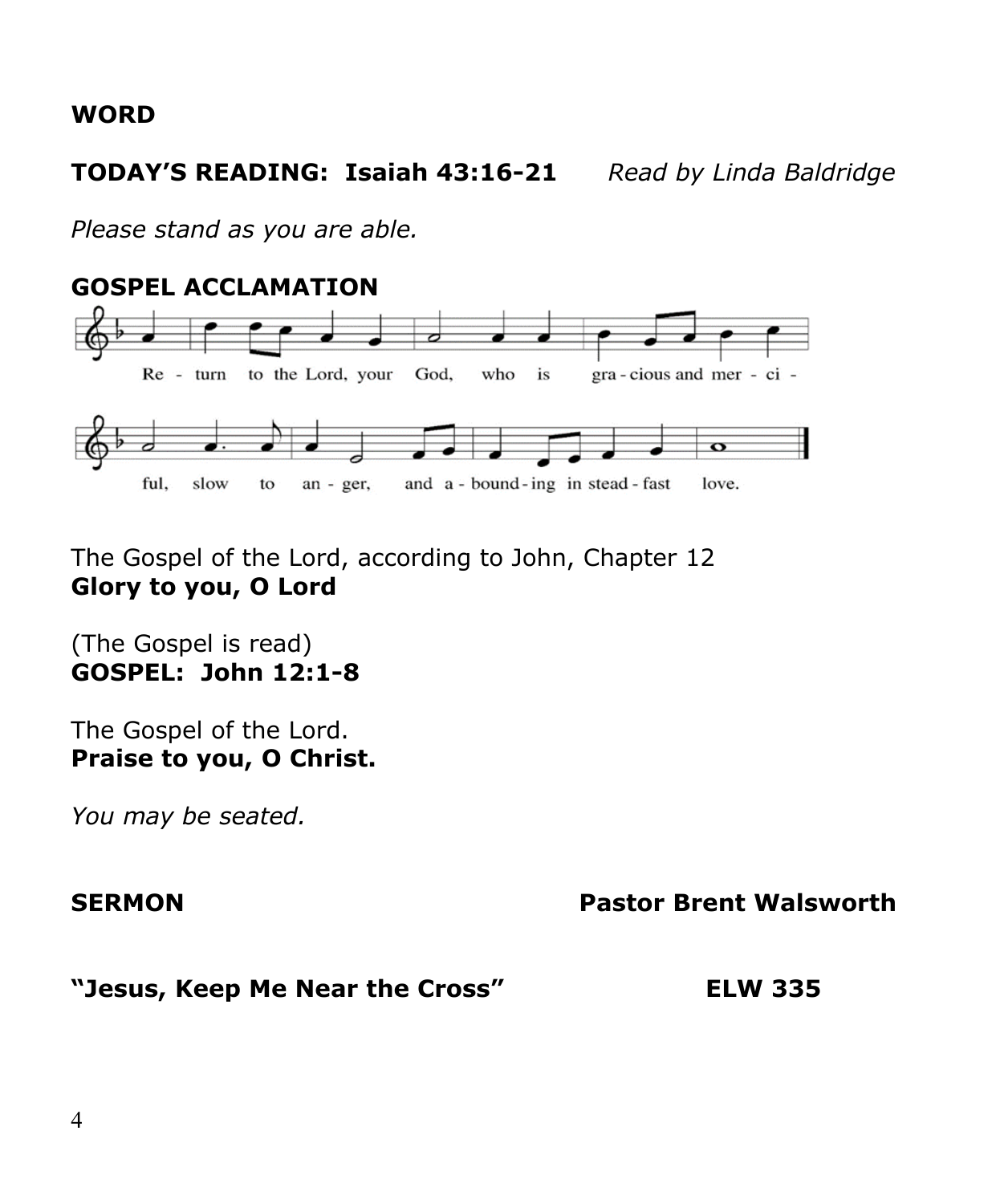#### **WORD**

**TODAY'S READING: Isaiah 43:16-21** *Read by Linda Baldridge*

*Please stand as you are able.*



The Gospel of the Lord, according to John, Chapter 12 **Glory to you, O Lord**

(The Gospel is read) **GOSPEL: John 12:1-8**

The Gospel of the Lord. **Praise to you, O Christ.**

*You may be seated.*

#### **SERMON Pastor Brent Walsworth**

#### **"Jesus, Keep Me Near the Cross" ELW 335**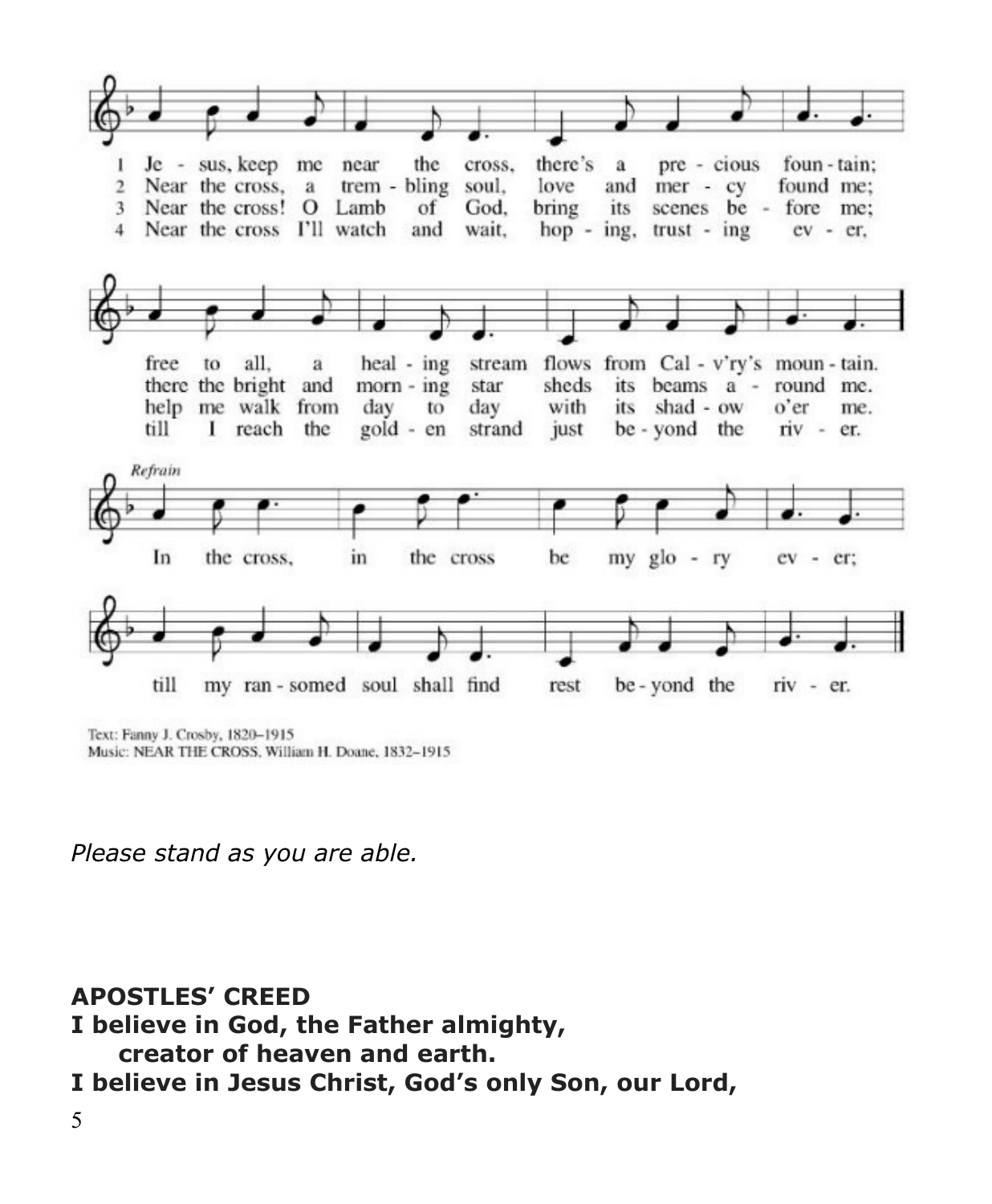

Text: Fanny J. Crosby, 1820-1915 Music: NEAR THE CROSS, William H. Doane, 1832-1915

*Please stand as you are able.*

**APOSTLES' CREED I believe in God, the Father almighty, creator of heaven and earth. I believe in Jesus Christ, God's only Son, our Lord,** 5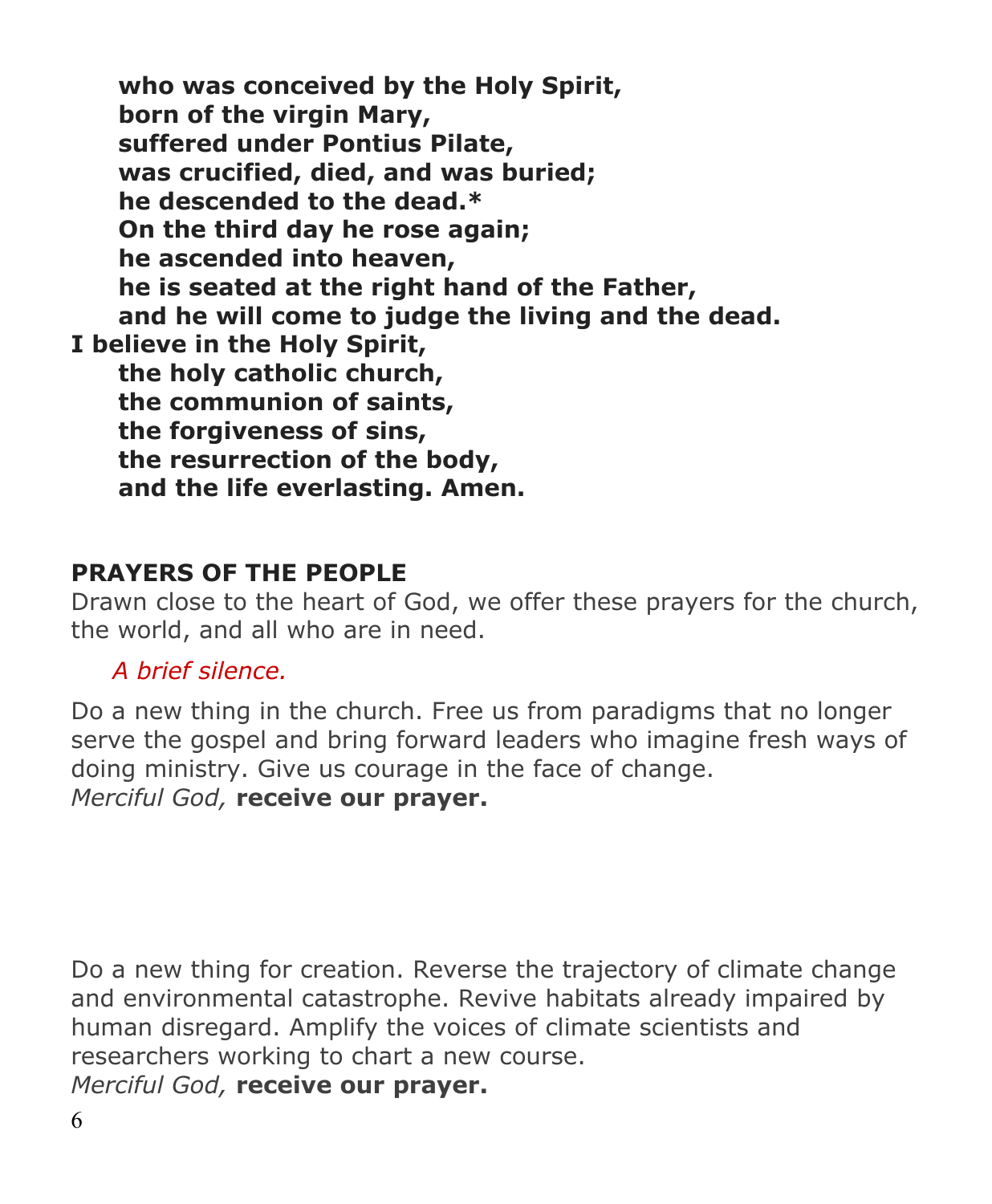**who was conceived by the Holy Spirit, born of the virgin Mary, suffered under Pontius Pilate, was crucified, died, and was buried; he descended to the dead.\* On the third day he rose again; he ascended into heaven, he is seated at the right hand of the Father, and he will come to judge the living and the dead. I believe in the Holy Spirit, the holy catholic church, the communion of saints, the forgiveness of sins, the resurrection of the body, and the life everlasting. Amen.**

# **PRAYERS OF THE PEOPLE**

Drawn close to the heart of God, we offer these prayers for the church, the world, and all who are in need.

# *A brief silence.*

Do a new thing in the church. Free us from paradigms that no longer serve the gospel and bring forward leaders who imagine fresh ways of doing ministry. Give us courage in the face of change. *Merciful God,* **receive our prayer.**

Do a new thing for creation. Reverse the trajectory of climate change and environmental catastrophe. Revive habitats already impaired by human disregard. Amplify the voices of climate scientists and researchers working to chart a new course.

*Merciful God,* **receive our prayer.**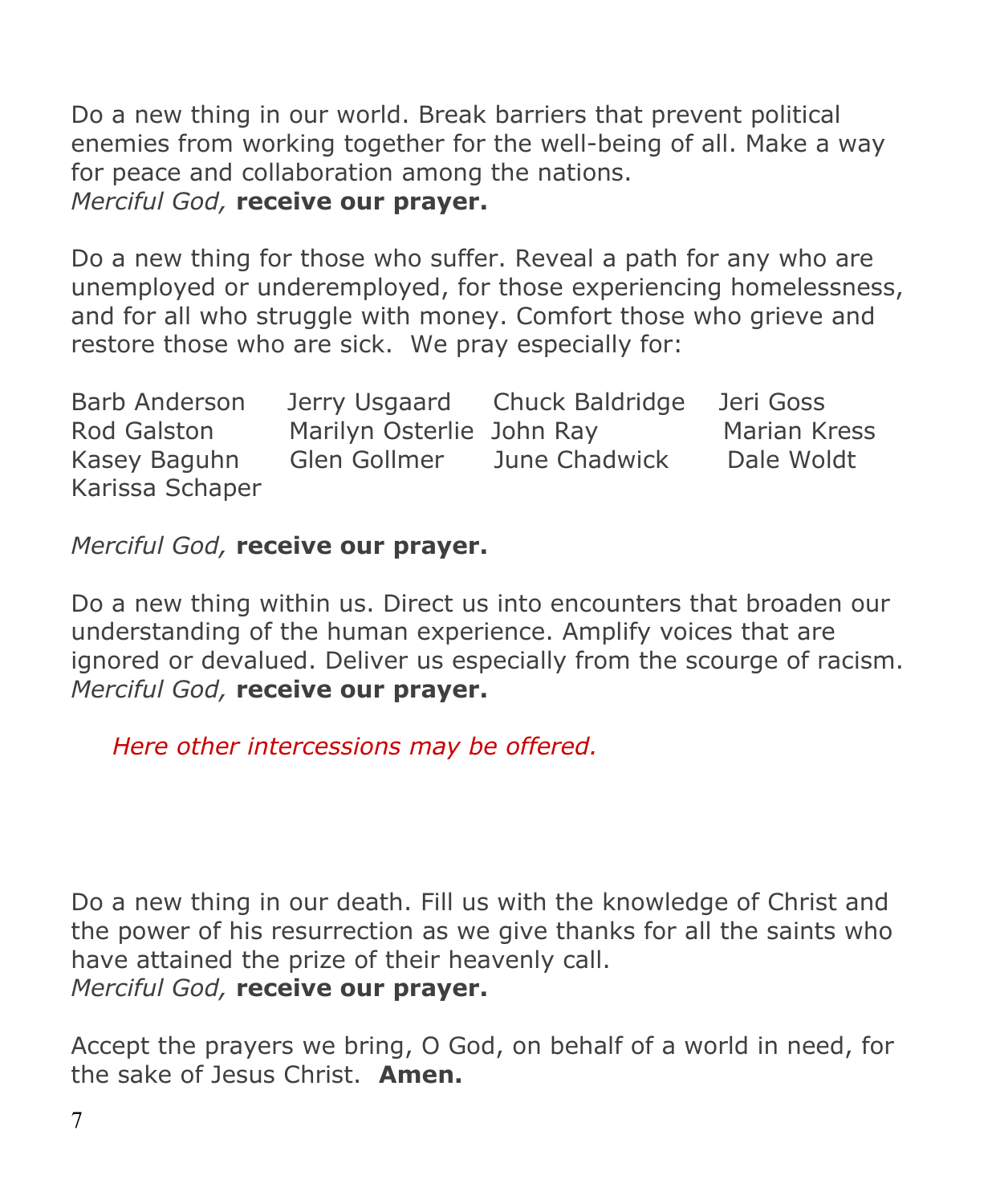Do a new thing in our world. Break barriers that prevent political enemies from working together for the well-being of all. Make a way for peace and collaboration among the nations. *Merciful God,* **receive our prayer.**

Do a new thing for those who suffer. Reveal a path for any who are unemployed or underemployed, for those experiencing homelessness, and for all who struggle with money. Comfort those who grieve and restore those who are sick. We pray especially for:

| Barb Anderson   |                           | Jerry Usgaard Chuck Baldridge | Jeri Goss           |
|-----------------|---------------------------|-------------------------------|---------------------|
| Rod Galston     | Marilyn Osterlie John Ray |                               | <b>Marian Kress</b> |
| Kasey Baguhn    | Glen Gollmer              | June Chadwick                 | Dale Woldt          |
| Karissa Schaper |                           |                               |                     |

*Merciful God,* **receive our prayer.**

Do a new thing within us. Direct us into encounters that broaden our understanding of the human experience. Amplify voices that are ignored or devalued. Deliver us especially from the scourge of racism. *Merciful God,* **receive our prayer.**

 *Here other intercessions may be offered.*

Do a new thing in our death. Fill us with the knowledge of Christ and the power of his resurrection as we give thanks for all the saints who have attained the prize of their heavenly call.

*Merciful God,* **receive our prayer.**

Accept the prayers we bring, O God, on behalf of a world in need, for the sake of Jesus Christ. **Amen.**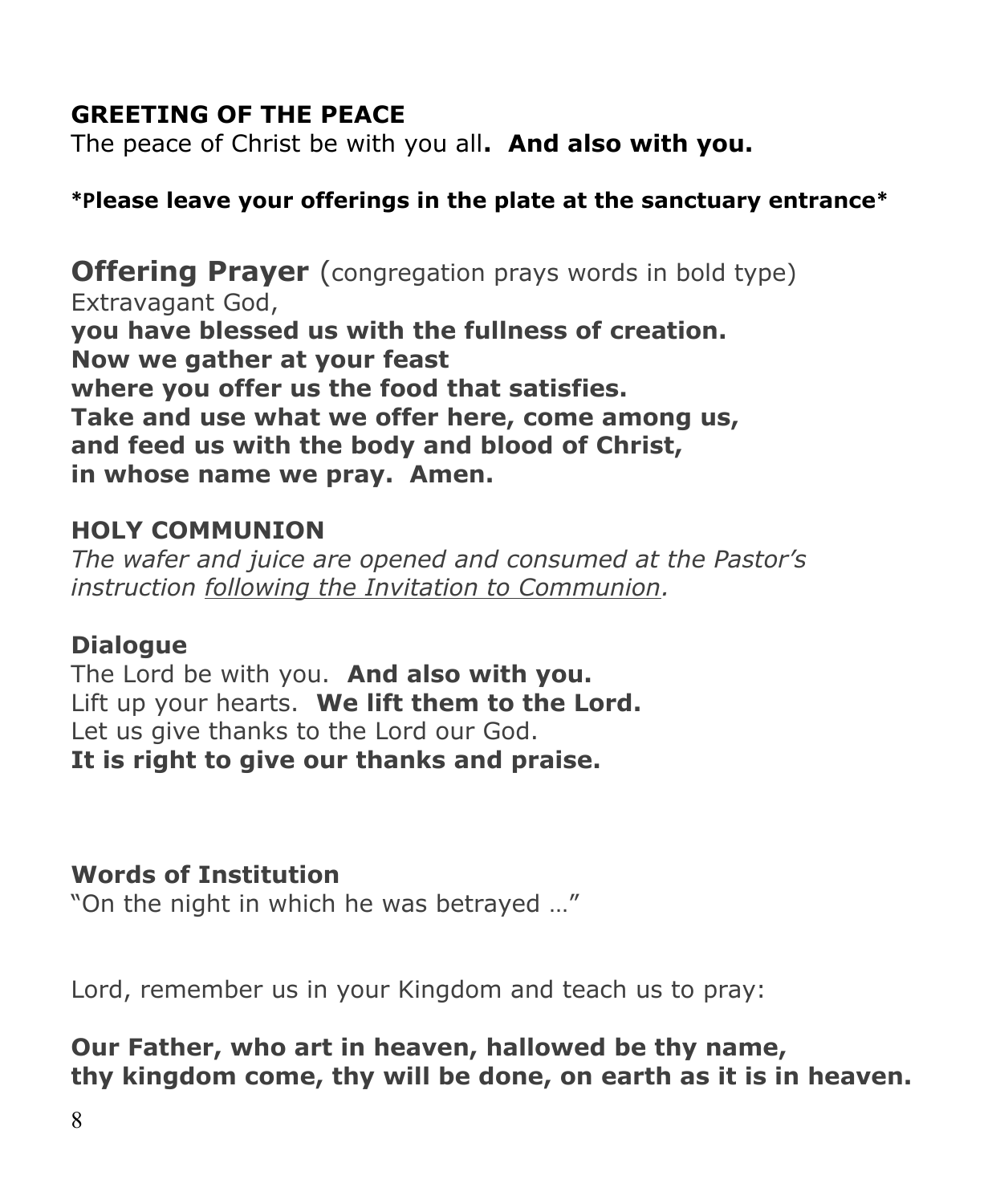# **GREETING OF THE PEACE**

The peace of Christ be with you all**. And also with you.**

# **\*Please leave your offerings in the plate at the sanctuary entrance\***

**Offering Prayer** (congregation prays words in bold type) Extravagant God, **you have blessed us with the fullness of creation. Now we gather at your feast where you offer us the food that satisfies. Take and use what we offer here, come among us, and feed us with the body and blood of Christ, in whose name we pray. Amen.**

# **HOLY COMMUNION**

*The wafer and juice are opened and consumed at the Pastor's instruction following the Invitation to Communion.*

# **Dialogue**

The Lord be with you. **And also with you.** Lift up your hearts. **We lift them to the Lord.** Let us give thanks to the Lord our God. **It is right to give our thanks and praise.**

# **Words of Institution**

"On the night in which he was betrayed …"

Lord, remember us in your Kingdom and teach us to pray:

# **Our Father, who art in heaven, hallowed be thy name, thy kingdom come, thy will be done, on earth as it is in heaven.**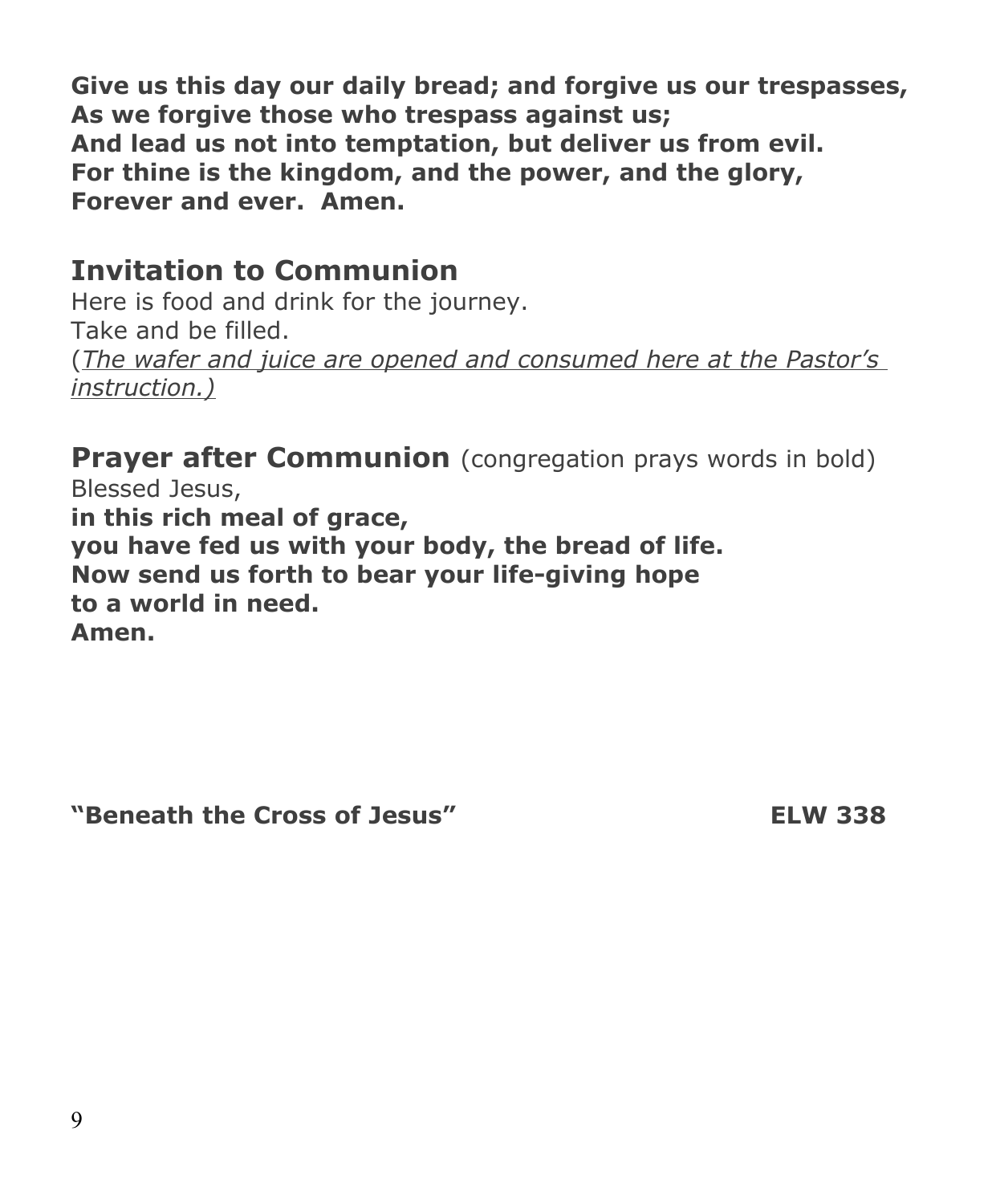**Give us this day our daily bread; and forgive us our trespasses, As we forgive those who trespass against us; And lead us not into temptation, but deliver us from evil. For thine is the kingdom, and the power, and the glory, Forever and ever. Amen.**

# **Invitation to Communion**

Here is food and drink for the journey. Take and be filled. (*The wafer and juice are opened and consumed here at the Pastor's instruction.)*

**Prayer after Communion** (congregation prays words in bold) Blessed Jesus, **in this rich meal of grace, you have fed us with your body, the bread of life. Now send us forth to bear your life-giving hope to a world in need. Amen.**

**"Beneath the Cross of Jesus" ELW 338**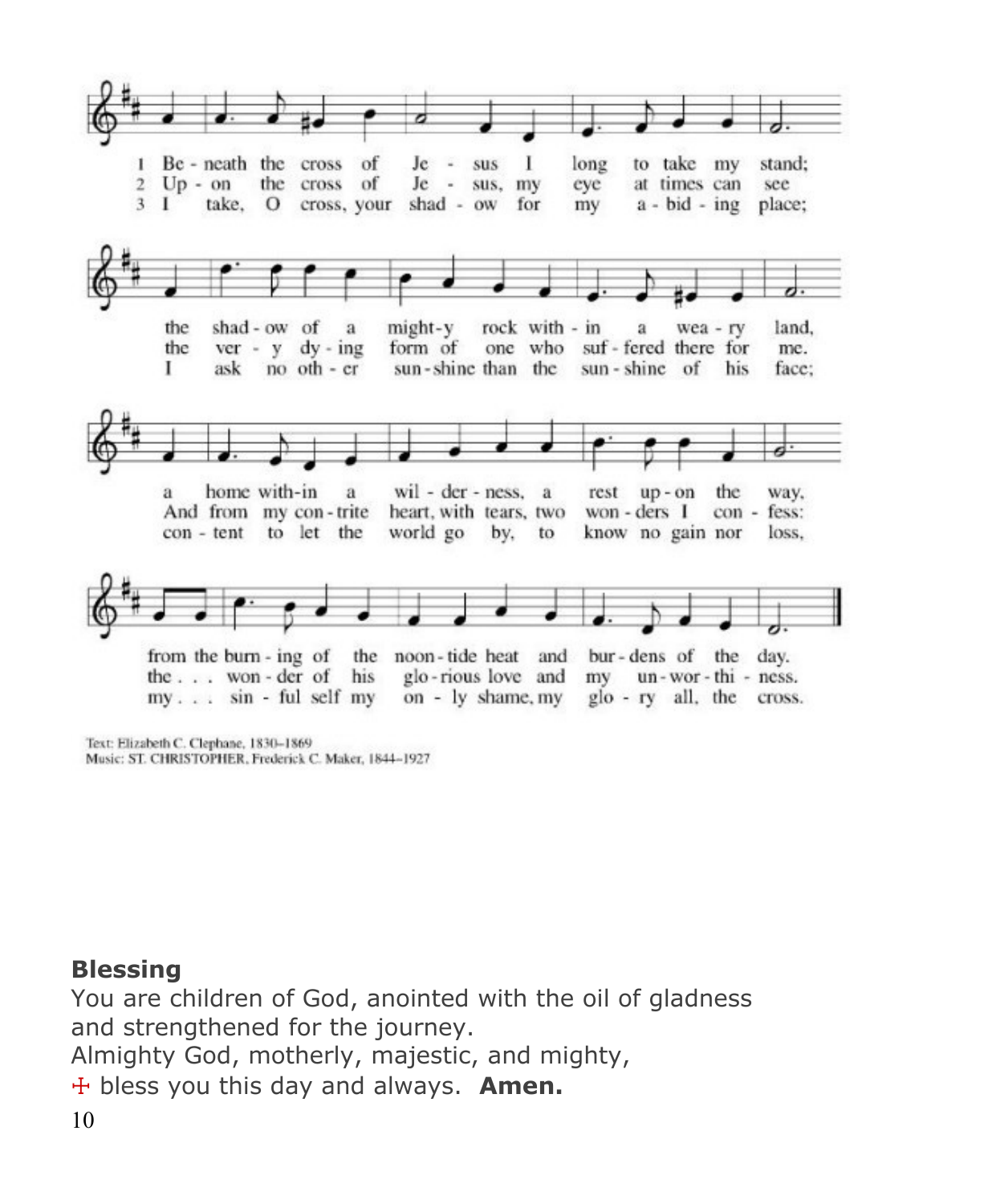

Text: Elizabeth C. Clephane, 1830-1869 Music: ST. CHRISTOPHER, Frederick C. Maker, 1844-1927

# **Blessing**

You are children of God, anointed with the oil of gladness and strengthened for the journey. Almighty God, motherly, majestic, and mighty,

☩ bless you this day and always. **Amen.**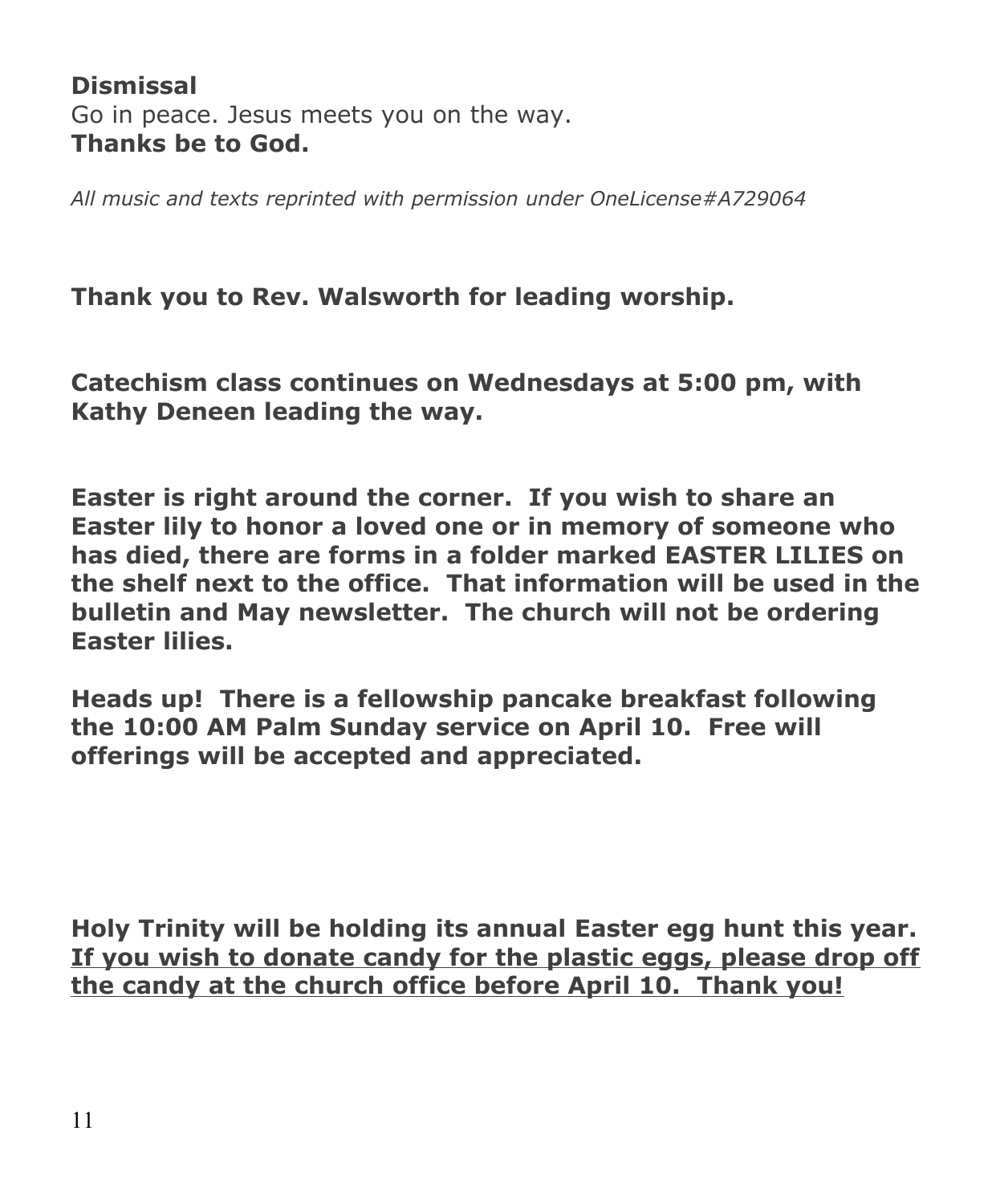# **Dismissal** Go in peace. Jesus meets you on the way. **Thanks be to God.**

*All music and texts reprinted with permission under OneLicense#A729064*

**Thank you to Rev. Walsworth for leading worship.**

**Catechism class continues on Wednesdays at 5:00 pm, with Kathy Deneen leading the way.**

**Easter is right around the corner. If you wish to share an Easter lily to honor a loved one or in memory of someone who has died, there are forms in a folder marked EASTER LILIES on the shelf next to the office. That information will be used in the bulletin and May newsletter. The church will not be ordering Easter lilies.**

**Heads up! There is a fellowship pancake breakfast following the 10:00 AM Palm Sunday service on April 10. Free will offerings will be accepted and appreciated.**

**Holy Trinity will be holding its annual Easter egg hunt this year. If you wish to donate candy for the plastic eggs, please drop off the candy at the church office before April 10. Thank you!**